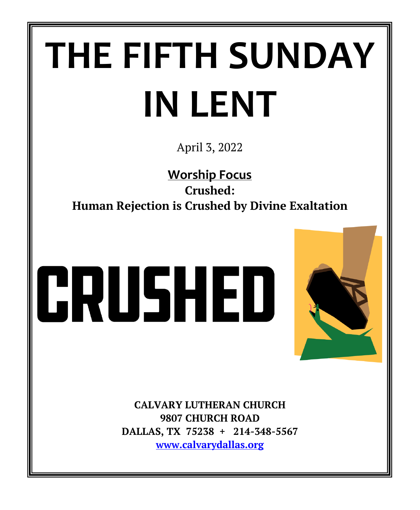# **THE FIFTH SUNDAY IN LENT**

April 3, 2022

**Worship Focus Crushed: Human Rejection is Crushed by Divine Exaltation**

# CRUSHED



**CALVARY LUTHERAN CHURCH 9807 CHURCH ROAD DALLAS, TX 75238 + 214-348-5567 [www.calvarydallas.org](http://www.calvarydallas.org/)**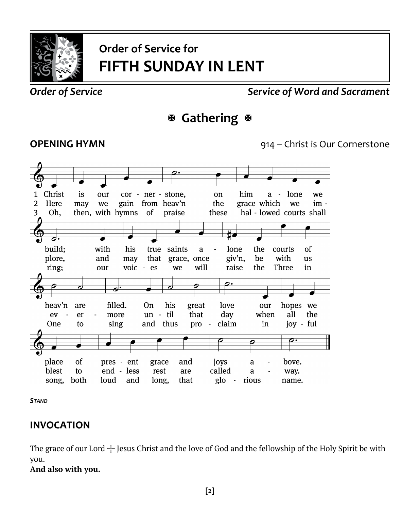

# **Order of Service for FIFTH SUNDAY IN LENT**

#### *Order of Service Service of Word and Sacrament*

# **Gathering**

**OPENING HYMN** 914 – Christ is Our Cornerstone



*STAND*

#### **INVOCATION**

The grace of our Lord  $+$  Jesus Christ and the love of God and the fellowship of the Holy Spirit be with you.

#### **And also with you.**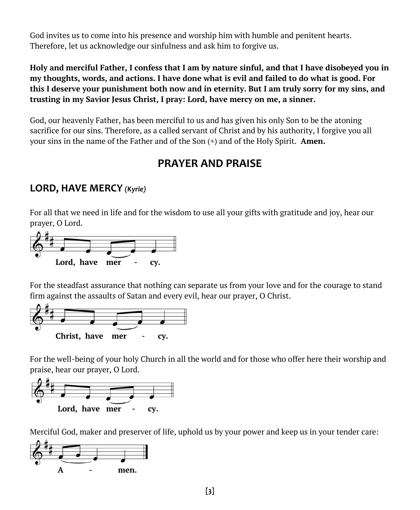God invites us to come into his presence and worship him with humble and penitent hearts. Therefore, let us acknowledge our sinfulness and ask him to forgive us.

**Holy and merciful Father, I confess that I am by nature sinful, and that I have disobeyed you in my thoughts, words, and actions. I have done what is evil and failed to do what is good. For this I deserve your punishment both now and in eternity. But I am truly sorry for my sins, and trusting in my Savior Jesus Christ, I pray: Lord, have mercy on me, a sinner.**

God, our heavenly Father, has been merciful to us and has given his only Son to be the atoning sacrifice for our sins. Therefore, as a called servant of Christ and by his authority, I forgive you all your sins in the name of the Father and of the Son (+) and of the Holy Spirit. **Amen.**

### **PRAYER AND PRAISE**

#### **LORD, HAVE MERCY** *(Kyrie)*

For all that we need in life and for the wisdom to use all your gifts with gratitude and joy, hear our prayer, O Lord.



For the steadfast assurance that nothing can separate us from your love and for the courage to stand firm against the assaults of Satan and every evil, hear our prayer, O Christ.



For the well-being of your holy Church in all the world and for those who offer here their worship and praise, hear our prayer, O Lord.



Merciful God, maker and preserver of life, uphold us by your power and keep us in your tender care:

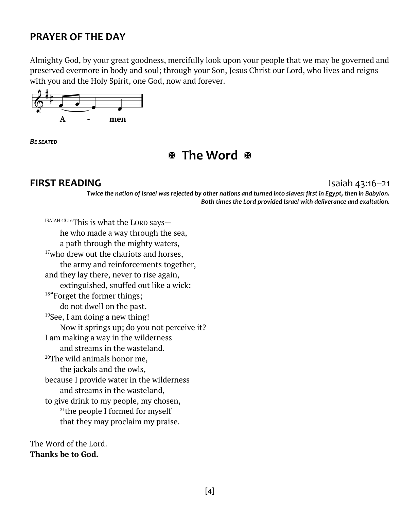#### **PRAYER OF THE DAY**

Almighty God, by your great goodness, mercifully look upon your people that we may be governed and preserved evermore in body and soul; through your Son, Jesus Christ our Lord, who lives and reigns with you and the Holy Spirit, one God, now and forever.



*BE SEATED*

 **The Word** 

#### **FIRST READING** Isaiah 43:16–21

*Twice the nation of Israel was rejected by other nations and turned into slaves: first in Egypt, then in Babylon. Both times the Lord provided Israel with deliverance and exaltation.*

ISAIAH 43:16This is what the LORD says he who made a way through the sea, a path through the mighty waters, <sup>17</sup>who drew out the chariots and horses, the army and reinforcements together, and they lay there, never to rise again, extinguished, snuffed out like a wick: <sup>18"</sup>Forget the former things; do not dwell on the past. <sup>19</sup>See, I am doing a new thing! Now it springs up; do you not perceive it? I am making a way in the wilderness and streams in the wasteland. <sup>20</sup>The wild animals honor me, the jackals and the owls, because I provide water in the wilderness and streams in the wasteland, to give drink to my people, my chosen, <sup>21</sup>the people I formed for myself that they may proclaim my praise.

The Word of the Lord. **Thanks be to God.**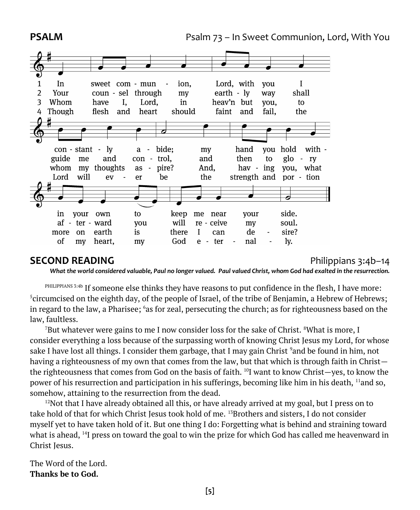

#### **SECOND READING** Philippians 3:4b–14

What the world considered valuable, Paul no longer valued. Paul valued Christ, whom God had exalted in the resurrection.

PHILIPPIANS 3:4b If someone else thinks they have reasons to put confidence in the flesh, I have more:  $5$ circumcised on the eighth day, of the people of Israel, of the tribe of Benjamin, a Hebrew of Hebrews; in regard to the law, a Pharisee; <sup>6</sup>as for zeal, persecuting the church; as for righteousness based on the law, faultless.

<sup>7</sup>But whatever were gains to me I now consider loss for the sake of Christ. <sup>8</sup>What is more, I consider everything a loss because of the surpassing worth of knowing Christ Jesus my Lord, for whose sake I have lost all things. I consider them garbage, that I may gain Christ <sup>9</sup>and be found in him, not having a righteousness of my own that comes from the law, but that which is through faith in Christ the righteousness that comes from God on the basis of faith. <sup>10</sup>I want to know Christ—yes, to know the power of his resurrection and participation in his sufferings, becoming like him in his death, <sup>11</sup>and so, somehow, attaining to the resurrection from the dead.

 $12$ Not that I have already obtained all this, or have already arrived at my goal, but I press on to take hold of that for which Christ Jesus took hold of me. <sup>13</sup>Brothers and sisters, I do not consider myself yet to have taken hold of it. But one thing I do: Forgetting what is behind and straining toward what is ahead, <sup>14</sup>I press on toward the goal to win the prize for which God has called me heavenward in Christ Jesus.

The Word of the Lord. **Thanks be to God.**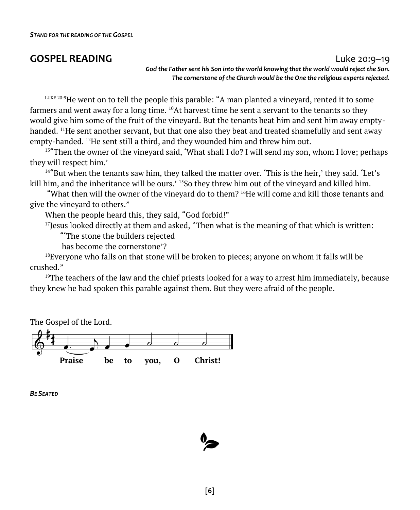#### **GOSPEL READING** Luke 20:9–19

*God the Father sent his Son into the world knowing that the world would reject the Son. The cornerstone of the Church would be the One the religious experts rejected.*

LUKE 20:9He went on to tell the people this parable: "A man planted a vineyard, rented it to some farmers and went away for a long time.  $^{10}$ At harvest time he sent a servant to the tenants so they would give him some of the fruit of the vineyard. But the tenants beat him and sent him away emptyhanded. <sup>11</sup>He sent another servant, but that one also they beat and treated shamefully and sent away empty-handed. <sup>12</sup>He sent still a third, and they wounded him and threw him out.

<sup>13"</sup>Then the owner of the vineyard said, 'What shall I do? I will send my son, whom I love; perhaps they will respect him.'

<sup>14"</sup>But when the tenants saw him, they talked the matter over. 'This is the heir,' they said. 'Let's kill him, and the inheritance will be ours.' <sup>15</sup>So they threw him out of the vineyard and killed him.

"What then will the owner of the vineyard do to them?  $^{16}$ He will come and kill those tenants and give the vineyard to others."

When the people heard this, they said, "God forbid!"

 $17$  Jesus looked directly at them and asked, "Then what is the meaning of that which is written:

"'The stone the builders rejected

has become the cornerstone'?

 $18$ Everyone who falls on that stone will be broken to pieces; anyone on whom it falls will be crushed."

<sup>19</sup>The teachers of the law and the chief priests looked for a way to arrest him immediately, because they knew he had spoken this parable against them. But they were afraid of the people.

The Gospel of the Lord.



*BE SEATED*

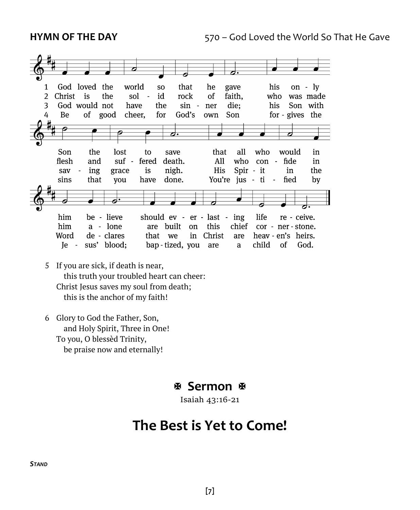

- 5 If you are sick, if death is near, this truth your troubled heart can cheer: Christ Jesus saves my soul from death; this is the anchor of my faith!
- 6 Glory to God the Father, Son, and Holy Spirit, Three in One! To you, O blessèd Trinity, be praise now and eternally!

#### **Sermon**

Isaiah 43:16-21

# **The Best is Yet to Come!**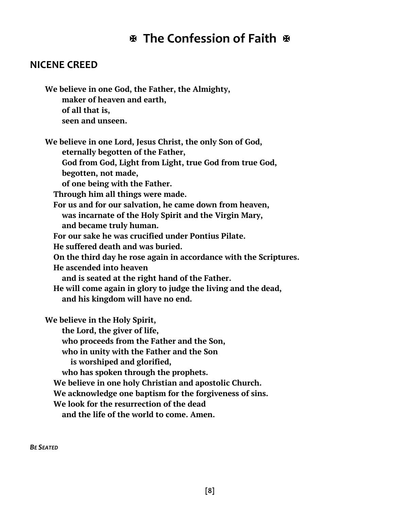# **The Confession of Faith**

#### **NICENE CREED**

**We believe in one God, the Father, the Almighty, maker of heaven and earth, of all that is, seen and unseen.**

**We believe in one Lord, Jesus Christ, the only Son of God, eternally begotten of the Father,**

 **God from God, Light from Light, true God from true God,**

 **begotten, not made,**

 **of one being with the Father.**

 **Through him all things were made.**

 **For us and for our salvation, he came down from heaven, was incarnate of the Holy Spirit and the Virgin Mary,**

 **and became truly human.**

 **For our sake he was crucified under Pontius Pilate.**

 **He suffered death and was buried.**

 **On the third day he rose again in accordance with the Scriptures.**

 **He ascended into heaven**

 **and is seated at the right hand of the Father.**

 **He will come again in glory to judge the living and the dead, and his kingdom will have no end.**

**We believe in the Holy Spirit, the Lord, the giver of life, who proceeds from the Father and the Son, who in unity with the Father and the Son** 

 **is worshiped and glorified,**

 **who has spoken through the prophets.**

 **We believe in one holy Christian and apostolic Church.**

 **We acknowledge one baptism for the forgiveness of sins.**

 **We look for the resurrection of the dead**

 **and the life of the world to come. Amen.**

*BE SEATED*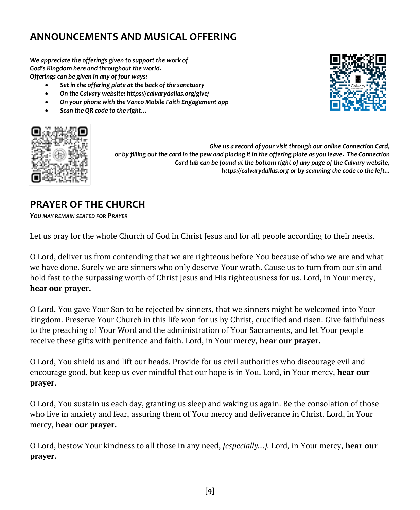#### **ANNOUNCEMENTS AND MUSICAL OFFERING**

*We appreciate the offerings given to support the work of God's Kingdom here and throughout the world. Offerings can be given in any of four ways:*

- *Set in the offering plate at the back of the sanctuary*
- *On the Calvary website: https://calvarydallas.org/give/*
- *On your phone with the Vanco Mobile Faith Engagement app*
- *Scan the QR code to the right…*





*Give us a record of your visit through our online Connection Card, or by filling out the card in the pew and placing it in the offering plate as you leave. The Connection Card tab can be found at the bottom right of any page of the Calvary website, https://calvarydallas.org or by scanning the code to the left...*

#### **PRAYER OF THE CHURCH**

*YOU MAY REMAIN SEATED FOR PRAYER*

Let us pray for the whole Church of God in Christ Jesus and for all people according to their needs.

O Lord, deliver us from contending that we are righteous before You because of who we are and what we have done. Surely we are sinners who only deserve Your wrath. Cause us to turn from our sin and hold fast to the surpassing worth of Christ Jesus and His righteousness for us. Lord, in Your mercy, **hear our prayer.**

O Lord, You gave Your Son to be rejected by sinners, that we sinners might be welcomed into Your kingdom. Preserve Your Church in this life won for us by Christ, crucified and risen. Give faithfulness to the preaching of Your Word and the administration of Your Sacraments, and let Your people receive these gifts with penitence and faith. Lord, in Your mercy, **hear our prayer.**

O Lord, You shield us and lift our heads. Provide for us civil authorities who discourage evil and encourage good, but keep us ever mindful that our hope is in You. Lord, in Your mercy, **hear our prayer.**

O Lord, You sustain us each day, granting us sleep and waking us again. Be the consolation of those who live in anxiety and fear, assuring them of Your mercy and deliverance in Christ. Lord, in Your mercy, **hear our prayer.**

O Lord, bestow Your kindness to all those in any need, *[especially…].* Lord, in Your mercy, **hear our prayer.**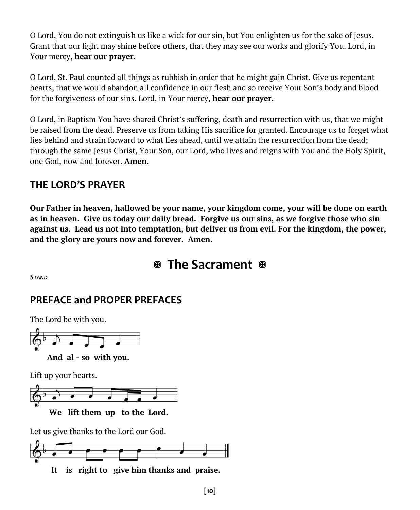O Lord, You do not extinguish us like a wick for our sin, but You enlighten us for the sake of Jesus. Grant that our light may shine before others, that they may see our works and glorify You. Lord, in Your mercy, **hear our prayer.**

O Lord, St. Paul counted all things as rubbish in order that he might gain Christ. Give us repentant hearts, that we would abandon all confidence in our flesh and so receive Your Son's body and blood for the forgiveness of our sins. Lord, in Your mercy, **hear our prayer.**

O Lord, in Baptism You have shared Christ's suffering, death and resurrection with us, that we might be raised from the dead. Preserve us from taking His sacrifice for granted. Encourage us to forget what lies behind and strain forward to what lies ahead, until we attain the resurrection from the dead; through the same Jesus Christ, Your Son, our Lord, who lives and reigns with You and the Holy Spirit, one God, now and forever. **Amen.**

#### **THE LORD'S PRAYER**

**Our Father in heaven, hallowed be your name, your kingdom come, your will be done on earth as in heaven. Give us today our daily bread. Forgive us our sins, as we forgive those who sin against us. Lead us not into temptation, but deliver us from evil. For the kingdom, the power, and the glory are yours now and forever. Amen.**

# **The Sacrament**

*STAND*

### **PREFACE and PROPER PREFACES**

The Lord be with you.



Lift up your hearts.



**We lift them up to the Lord.**

Let us give thanks to the Lord our God.



 **It is right to give him thanks and praise.**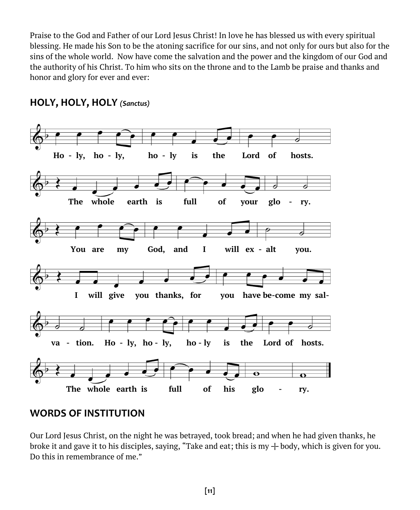Praise to the God and Father of our Lord Jesus Christ! In love he has blessed us with every spiritual blessing. He made his Son to be the atoning sacrifice for our sins, and not only for ours but also for the sins of the whole world. Now have come the salvation and the power and the kingdom of our God and the authority of his Christ. To him who sits on the throne and to the Lamb be praise and thanks and honor and glory for ever and ever:



#### **HOLY, HOLY, HOLY** *(Sanctus)*

#### **WORDS OF INSTITUTION**

Our Lord Jesus Christ, on the night he was betrayed, took bread; and when he had given thanks, he broke it and gave it to his disciples, saying, "Take and eat; this is my  $+$  body, which is given for you. Do this in remembrance of me."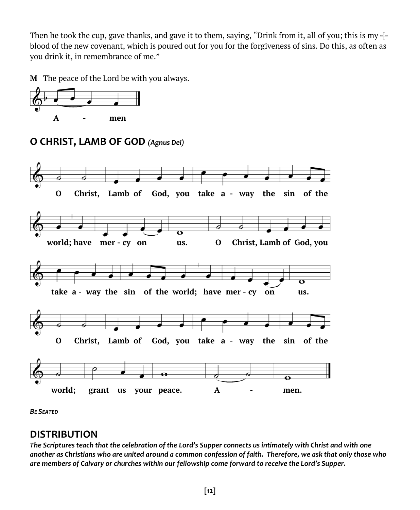Then he took the cup, gave thanks, and gave it to them, saying, "Drink from it, all of you; this is my  $+$ blood of the new covenant, which is poured out for you for the forgiveness of sins. Do this, as often as you drink it, in remembrance of me."

**M** The peace of the Lord be with you always.





#### **O CHRIST, LAMB OF GOD** *(Agnus Dei)*

*BE SEATED*

#### **DISTRIBUTION**

*The Scriptures teach that the celebration of the Lord's Supper connects us intimately with Christ and with one another as Christians who are united around a common confession of faith. Therefore, we ask that only those who are members of Calvary or churches within our fellowship come forward to receive the Lord's Supper.*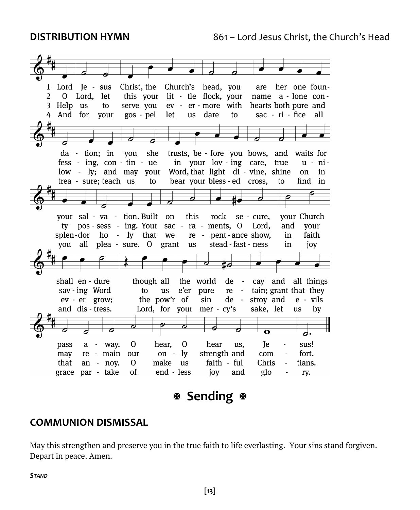

# **Sending**

#### **COMMUNION DISMISSAL**

May this strengthen and preserve you in the true faith to life everlasting. Your sins stand forgiven. Depart in peace. Amen.

*STAND*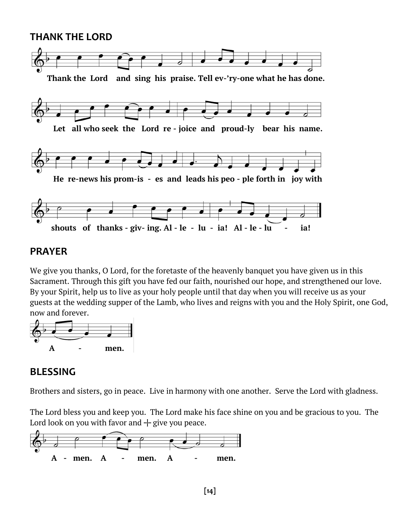#### **THANK THE LORD**



#### **PRAYER**

We give you thanks, O Lord, for the foretaste of the heavenly banquet you have given us in this Sacrament. Through this gift you have fed our faith, nourished our hope, and strengthened our love. By your Spirit, help us to live as your holy people until that day when you will receive us as your guests at the wedding supper of the Lamb, who lives and reigns with you and the Holy Spirit, one God, now and forever.



#### **BLESSING**

Brothers and sisters, go in peace. Live in harmony with one another. Serve the Lord with gladness.

The Lord bless you and keep you. The Lord make his face shine on you and be gracious to you. The Lord look on you with favor and  $+$  give you peace.

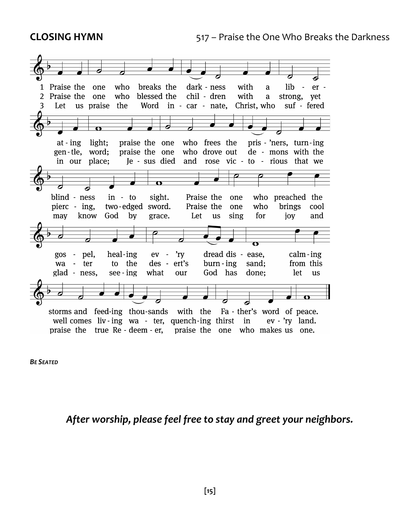

*BE SEATED*

#### *After worship, please feel free to stay and greet your neighbors.*